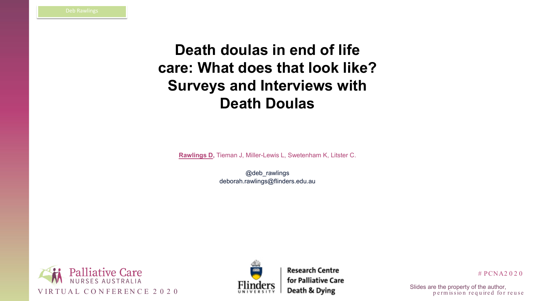



# PCNA2 0 2 0

p e rm is sion required for reuse

# **Death doulas in end of life care: What does that look like? Surveys and Interviews with Death Doulas**

**Rawlings D,** Tieman J, Miller-Lewis L, Swetenham K, Litster C.

@deb\_rawlings deborah.rawlings@flinders.edu.au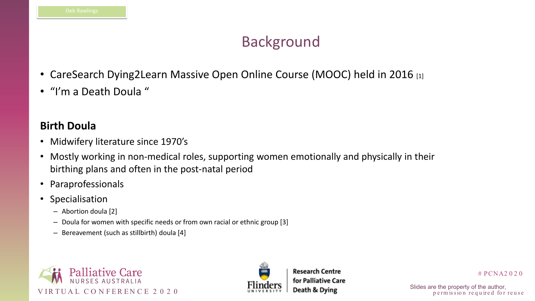



- CareSearch Dying2Learn Massive Open Online Course (MOOC) held in 2016 [1]
- "I'm a Death Doula "

# PCNA2 0 2 0

p e rm is sion required for reuse

# Background

### **Birth Doula**

- Midwifery literature since 1970's
- Mostly working in non-medical roles, supporting women emotionally and physically in their birthing plans and often in the post-natal period
- Paraprofessionals
- Specialisation
	- Abortion doula [2]
	- Doula for women with specific needs or from own racial or ethnic group [3]
	- Bereavement (such as stillbirth) doula [4]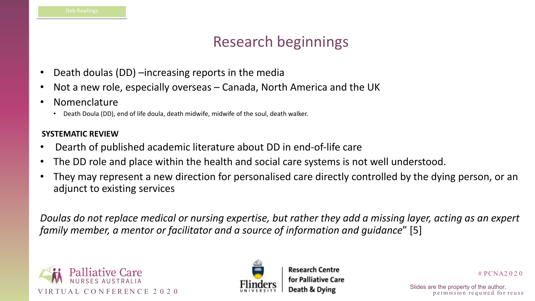



# PCNA2 0 2 0

p e rm is sion required for reuse

# Research beginnings

- Death doulas (DD) –increasing reports in the media
- Not a new role, especially overseas Canada, North America and the UK
- **Nomenclature** 
	- Death Doula (DD), end of life doula, death midwife, midwife of the soul, death walker.

### **SYSTEMATIC REVIEW**

- Dearth of published academic literature about DD in end-of-life care
- The DD role and place within the health and social care systems is not well understood.
- They may represent a new direction for personalised care directly controlled by the dying person, or an adjunct to existing services

*Doulas do not replace medical or nursing expertise, but rather they add a missing layer, acting as an expert family member, a mentor or facilitator and a source of information and guidance*" [5]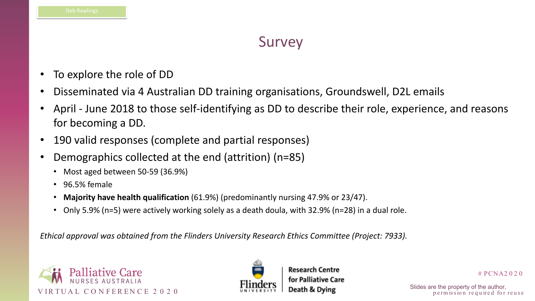



# PCNA2 0 2 0

p e rm is sion required for reuse

### Survey

- To explore the role of DD
- Disseminated via 4 Australian DD training organisations, Groundswell, D2L emails
- April June 2018 to those self-identifying as DD to describe their role, experience, and reasons for becoming a DD.
- 190 valid responses (complete and partial responses)
- Demographics collected at the end (attrition) (n=85)
	- Most aged between 50-59 (36.9%)
	- 96.5% female
	- **Majority have health qualification** (61.9%) (predominantly nursing 47.9% or 23/47).
	- Only 5.9% (n=5) were actively working solely as a death doula, with 32.9% (n=28) in a dual role.

*Ethical approval was obtained from the Flinders University Research Ethics Committee (Project: 7933).*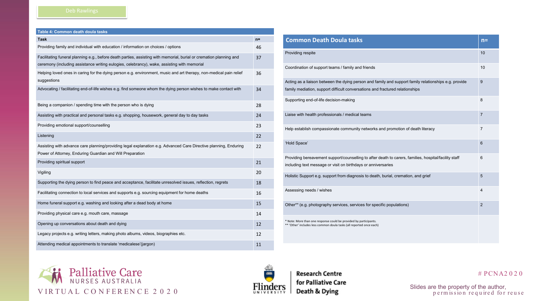### # PCNA2 0 2 0

VIRTUAL CONFERENCE 2020 **Flim ders Death & Dying** Slides are the property of the author,<br> **permission required for reuse** 

| Table 4: Common death doula tasks                                                                                                                                                                                  |       |
|--------------------------------------------------------------------------------------------------------------------------------------------------------------------------------------------------------------------|-------|
| <b>Task</b>                                                                                                                                                                                                        | $n =$ |
| Providing family and individual with education / information on choices / options                                                                                                                                  | 46    |
| Facilitating funeral planning e.g., before death parties, assisting with memorial, burial or cremation planning and<br>ceremony (including assistance writing eulogies, celebrancy), wake, assisting with memorial | 37    |
| Helping loved ones in caring for the dying person e.g. environment, music and art therapy, non-medical pain relief<br>suggestions                                                                                  | 36    |
| Advocating / facilitating end-of-life wishes e.g. find someone whom the dying person wishes to make contact with                                                                                                   | 34    |
| Being a companion / spending time with the person who is dying                                                                                                                                                     | 28    |
| Assisting with practical and personal tasks e.g. shopping, housework, general day to day tasks                                                                                                                     | 24    |
| Providing emotional support/counselling                                                                                                                                                                            | 23    |
| Listening                                                                                                                                                                                                          | 22    |
| Assisting with advance care planning/providing legal explanation e.g. Advanced Care Directive planning, Enduring<br>Power of Attorney, Enduring Guardian and Will Preparation                                      | 22    |
| Providing spiritual support                                                                                                                                                                                        | 21    |
| Vigiling                                                                                                                                                                                                           | 20    |
| Supporting the dying person to find peace and acceptance, facilitate unresolved issues, reflection, regrets                                                                                                        | 18    |
| Facilitating connection to local services and supports e.g. sourcing equipment for home deaths                                                                                                                     | 16    |
| Home funeral support e.g. washing and looking after a dead body at home                                                                                                                                            | 15    |
| Providing physical care e.g. mouth care, massage                                                                                                                                                                   | 14    |
| Opening up conversations about death and dying                                                                                                                                                                     | 12    |
| Legacy projects e.g. writing letters, making photo albums, videos, biographies etc.                                                                                                                                | 12    |
| Attending medical appointments to translate 'medicalese'(jargon)                                                                                                                                                   | 11    |

| oula tasks                                                                                                                      | $n =$          |
|---------------------------------------------------------------------------------------------------------------------------------|----------------|
|                                                                                                                                 | 10             |
| ms / family and friends                                                                                                         | 10             |
| the dying person and family and support family relationships e.g. provide<br>ifficult conversations and fractured relationships | 9              |
| ion-making                                                                                                                      | 8              |
| nals / medical teams                                                                                                            | $\overline{7}$ |
| ate community networks and promotion of death literacy                                                                          | $\overline{7}$ |
|                                                                                                                                 | 6              |
| port/counselling to after death to carers, families, hospital/facility staff<br>isit on birthdays or anniversaries              | 6              |
| rt from diagnosis to death, burial, cremation, and grief                                                                        | 5              |
|                                                                                                                                 | $\overline{4}$ |
| ervices, services for specific populations)                                                                                     | $\overline{2}$ |
| Ild be provided by participants.<br>ula tasks (all reported once each)                                                          |                |







**Research Centre**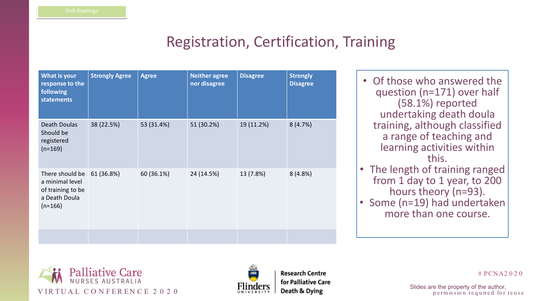



# PCNA2 0 2 0

p e rm is sion required for reuse

# Registration, Certification, Training

| What is your<br>response to the<br>following<br><b>statements</b>                     | <b>Strongly Agree</b> | <b>Agree</b> | <b>Neither agree</b><br>nor disagree | <b>Disagree</b> | <b>Strongly</b><br><b>Disagree</b> |
|---------------------------------------------------------------------------------------|-----------------------|--------------|--------------------------------------|-----------------|------------------------------------|
| <b>Death Doulas</b><br>Should be<br>registered<br>$(n=169)$                           | 38 (22.5%)            | 53 (31.4%)   | 51 (30.2%)                           | 19 (11.2%)      | 8(4.7%)                            |
| There should be<br>a minimal level<br>of training to be<br>a Death Doula<br>$(n=166)$ | 61 (36.8%)            | 60 (36.1%)   | 24 (14.5%)                           | 13 (7.8%)       | $8(4.8\%)$                         |
|                                                                                       |                       |              |                                      |                 |                                    |

• Of those who answered the question (n=171) over half (58.1%) reported undertaking death doula training, although classified a range of teaching and learning activities within this. • The length of training ranged from 1 day to 1 year, to 200 hours theory (n=93). • Some (n=19) had undertaken more than one course.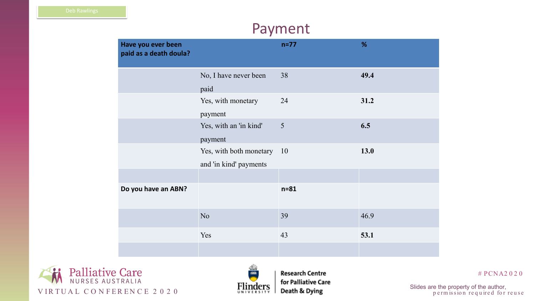



**Research Centre** 

| %    |  |
|------|--|
| 49.4 |  |
| 31.2 |  |
| 6.5  |  |
| 13.0 |  |
|      |  |
|      |  |
| 46.9 |  |
| 53.1 |  |
|      |  |

### # PCNA2 0 2 0

### Payment

| Have you ever been<br>paid as a death doula? |                                                   | $n=77$          | %    |
|----------------------------------------------|---------------------------------------------------|-----------------|------|
|                                              | No, I have never been<br>paid                     | 38              | 49.4 |
|                                              | Yes, with monetary<br>payment                     | 24              | 31.2 |
|                                              | Yes, with an 'in kind'<br>payment                 | 5               | 6.5  |
|                                              | Yes, with both monetary<br>and 'in kind' payments | $\overline{10}$ | 13.0 |
| Do you have an ABN?                          |                                                   | $n = 81$        |      |
|                                              | N <sub>o</sub>                                    | 39              | 46.9 |
|                                              | Yes                                               | 43              | 53.1 |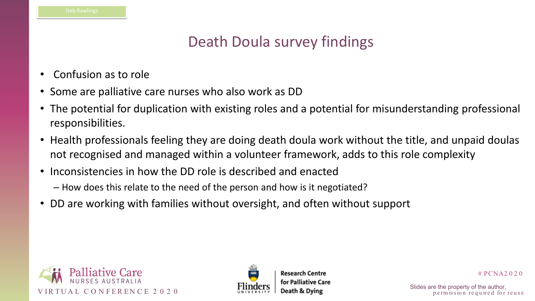



# PCNA2 0 2 0

p e rm is sion required for reuse

# Death Doula survey findings

- Confusion as to role
- Some are palliative care nurses who also work as DD
- The potential for duplication with existing roles and a potential for misunderstanding professional responsibilities.
- Health professionals feeling they are doing death doula work without the title, and unpaid doulas not recognised and managed within a volunteer framework, adds to this role complexity
- Inconsistencies in how the DD role is described and enacted – How does this relate to the need of the person and how is it negotiated?
- DD are working with families without oversight, and often without support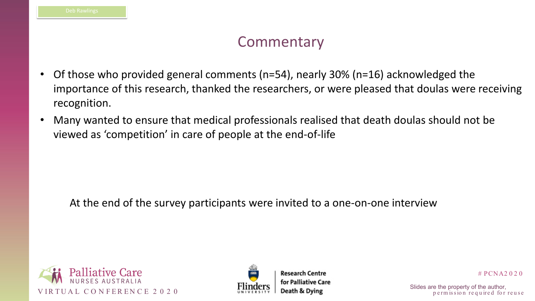### **Commentary**





**Research Centre** for Palliative Care

# PCNA2 0 2 0

p e rm is sion required for reuse

- Of those who provided general comments (n=54), nearly 30% (n=16) acknowledged the importance of this research, thanked the researchers, or were pleased that doulas were receiving recognition.
- Many wanted to ensure that medical professionals realised that death doulas should not be viewed as 'competition' in care of people at the end-of-life

At the end of the survey participants were invited to a one-on-one interview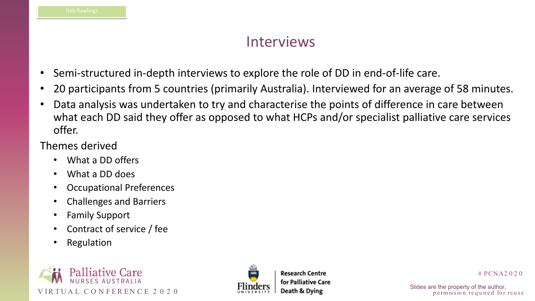



# PCNA2 0 2 0

p e rm is sion required for reuse

### Interviews

- Semi-structured in-depth interviews to explore the role of DD in end-of-life care.
- 20 participants from 5 countries (primarily Australia). Interviewed for an average of 58 minutes.
- Data analysis was undertaken to try and characterise the points of difference in care between what each DD said they offer as opposed to what HCPs and/or specialist palliative care services offer.

### Themes derived

- What a DD offers
- What a DD does
- Occupational Preferences
- Challenges and Barriers
- Family Support
- Contract of service / fee
- Regulation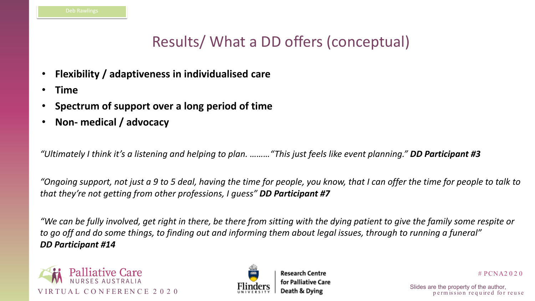



# PCNA2 0 2 0

p e rm is sion required for reuse

# Results/ What a DD offers (conceptual)

- **Flexibility / adaptiveness in individualised care**
- **Time**
- **Spectrum of support over a long period of time**
- **Non- medical / advocacy**

*"Ultimately I think it's a listening and helping to plan. ………"This just feels like event planning." DD Participant #3*

*"Ongoing support, not just a 9 to 5 deal, having the time for people, you know, that I can offer the time for people to talk to that they're not getting from other professions, I guess" DD Participant #7*

*"We can be fully involved, get right in there, be there from sitting with the dying patient to give the family some respite or to go off and do some things, to finding out and informing them about legal issues, through to running a funeral" DD Participant #14*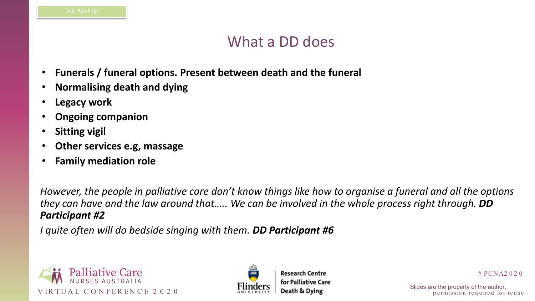



# PCNA2 0 2 0

p e rm is sion required for reuse

### What a DD does

- **Funerals / funeral options. Present between death and the funeral**
- **Normalising death and dying**
- **Legacy work**
- **Ongoing companion**
- **Sitting vigil**
- **Other services e.g, massage**
- **Family mediation role**

*However, the people in palliative care don't know things like how to organise a funeral and all the options they can have and the law around that….. We can be involved in the whole process right through. DD Participant #2*

*I quite often will do bedside singing with them. DD Participant #6*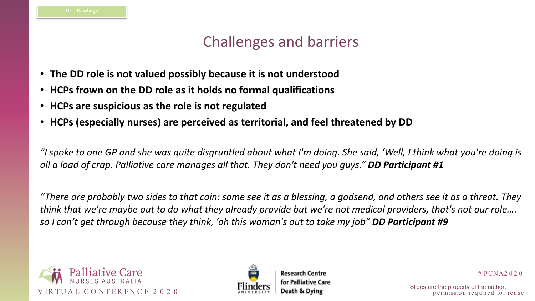



### # PCNA2 0 2 0

p e rm is sion required for reuse

# Challenges and barriers

- **The DD role is not valued possibly because it is not understood**
- **HCPs frown on the DD role as it holds no formal qualifications**
- **HCPs are suspicious as the role is not regulated**
- **HCPs (especially nurses) are perceived as territorial, and feel threatened by DD**

*"I spoke to one GP and she was quite disgruntled about what I'm doing. She said, 'Well, I think what you're doing is all a load of crap. Palliative care manages all that. They don't need you guys." DD Participant #1*

*"There are probably two sides to that coin: some see it as a blessing, a godsend, and others see it as a threat. They think that we're maybe out to do what they already provide but we're not medical providers, that's not our role…. so I can't get through because they think, 'oh this woman's out to take my job" DD Participant #9*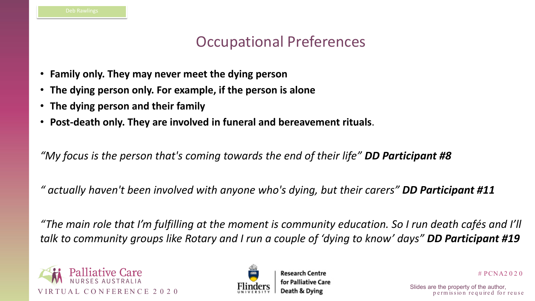



# PCNA2 0 2 0

p e rm is sion required for reuse

## Occupational Preferences

- **Family only. They may never meet the dying person**
- **The dying person only. For example, if the person is alone**
- **The dying person and their family**
- **Post-death only. They are involved in funeral and bereavement rituals**.

*"My focus is the person that's coming towards the end of their life" DD Participant #8*

*" actually haven't been involved with anyone who's dying, but their carers" DD Participant #11*

*"The main role that I'm fulfilling at the moment is community education. So I run death cafés and I'll talk to community groups like Rotary and I run a couple of 'dying to know' days" DD Participant #19*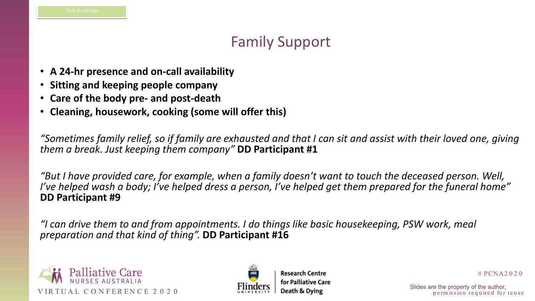



# PCNA2 0 2 0

p e rm is sion required for reuse

## Family Support

- **A 24-hr presence and on-call availability**
- **Sitting and keeping people company**
- **Care of the body pre- and post-death**
- **Cleaning, housework, cooking (some will offer this)**

*"Sometimes family relief, so if family are exhausted and that I can sit and assist with their loved one, giving them a break. Just keeping them company"* **DD Participant #1**

*"But I have provided care, for example, when a family doesn't want to touch the deceased person. Well, I've helped wash a body; I've helped dress a person, I've helped get them prepared for the funeral home"*  **DD Participant #9**

*"I can drive them to and from appointments. I do things like basic housekeeping, PSW work, meal preparation and that kind of thing".* **DD Participant #16**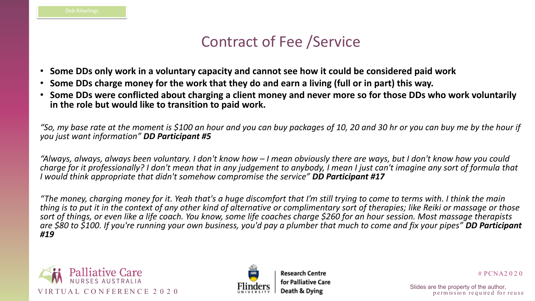



 $# PCNA2020$ 

p e rm is sion required for reuse

# Contract of Fee /Service

- **Some DDs only work in a voluntary capacity and cannot see how it could be considered paid work**
- **Some DDs charge money for the work that they do and earn a living (full or in part) this way.**
- **Some DDs were conflicted about charging a client money and never more so for those DDs who work voluntarily in the role but would like to transition to paid work.**

*"So, my base rate at the moment is \$100 an hour and you can buy packages of 10, 20 and 30 hr or you can buy me by the hour if you just want information" DD Participant #5*

*"Always, always, always been voluntary. I don't know how – I mean obviously there are ways, but I don't know how you could charge for it professionally? I don't mean that in any judgement to anybody, I mean I just can't imagine any sort of formula that I would think appropriate that didn't somehow compromise the service" DD Participant #17*

*"The money, charging money for it. Yeah that's a huge discomfort that I'm still trying to come to terms with. I think the main thing is to put it in the context of any other kind of alternative or complimentary sort of therapies; like Reiki or massage or those sort of things, or even like a life coach. You know, some life coaches charge \$260 for an hour session. Most massage therapists are \$80 to \$100. If you're running your own business, you'd pay a plumber that much to come and fix your pipes" DD Participant #19*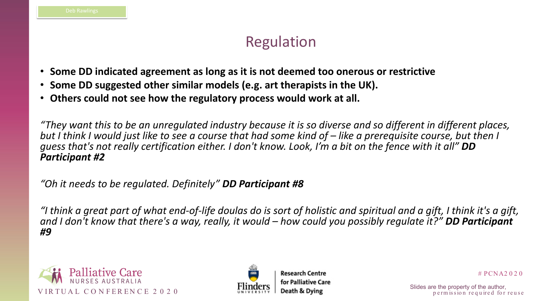



# PCNA2 0 2 0

p e rm is sion required for reuse

## Regulation

- **Some DD indicated agreement as long as it is not deemed too onerous or restrictive**
- **Some DD suggested other similar models (e.g. art therapists in the UK).**
- **Others could not see how the regulatory process would work at all.**

*"They want this to be an unregulated industry because it is so diverse and so different in different places, but I think I would just like to see a course that had some kind of – like a prerequisite course, but then I guess that's not really certification either. I don't know. Look, I'm a bit on the fence with it all" DD Participant #2*

*"Oh it needs to be regulated. Definitely" DD Participant #8*

*"I think a great part of what end-of-life doulas do is sort of holistic and spiritual and a gift, I think it's a gift, and I don't know that there's a way, really, it would – how could you possibly regulate it?" DD Participant #9*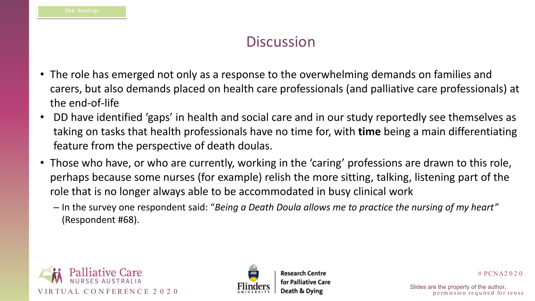### **Discussion**





**Research Centre** for Palliative Care

# PCNA2 0 2 0

p e rm is sion required for reuse

- The role has emerged not only as a response to the overwhelming demands on families and carers, but also demands placed on health care professionals (and palliative care professionals) at the end-of-life
- DD have identified 'gaps' in health and social care and in our study reportedly see themselves as taking on tasks that health professionals have no time for, with **time** being a main differentiating feature from the perspective of death doulas.
- Those who have, or who are currently, working in the 'caring' professions are drawn to this role, perhaps because some nurses (for example) relish the more sitting, talking, listening part of the role that is no longer always able to be accommodated in busy clinical work
	- In the survey one respondent said: "*Being a Death Doula allows me to practice the nursing of my heart"*  (Respondent #68).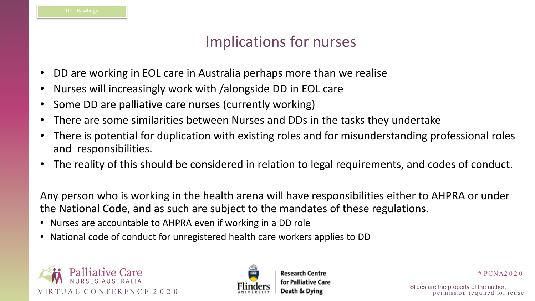



# PCNA2 0 2 0

p e rm is sion required for reuse

## Implications for nurses

- DD are working in EOL care in Australia perhaps more than we realise
- Nurses will increasingly work with /alongside DD in EOL care
- Some DD are palliative care nurses (currently working)
- There are some similarities between Nurses and DDs in the tasks they undertake There is potential for duplication with existing roles and for misunderstanding professional roles
- and responsibilities.
- The reality of this should be considered in relation to legal requirements, and codes of conduct.

Any person who is working in the health arena will have responsibilities either to AHPRA or under the National Code, and as such are subject to the mandates of these regulations.

- Nurses are accountable to AHPRA even if working in a DD role
- National code of conduct for unregistered health care workers applies to DD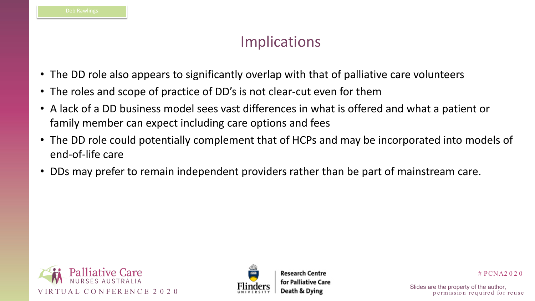



# PCNA2 0 2 0

p e rm is sion required for reuse

## Implications

- The DD role also appears to significantly overlap with that of palliative care volunteers
- The roles and scope of practice of DD's is not clear-cut even for them
- A lack of a DD business model sees vast differences in what is offered and what a patient or family member can expect including care options and fees
- The DD role could potentially complement that of HCPs and may be incorporated into models of end-of-life care
- DDs may prefer to remain independent providers rather than be part of mainstream care.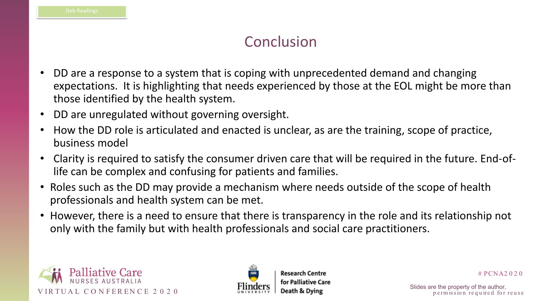



# PCNA2 0 2 0

p e rm is sion required for reuse

### Conclusion

- DD are a response to a system that is coping with unprecedented demand and changing expectations. It is highlighting that needs experienced by those at the EOL might be more than those identified by the health system.
- DD are unregulated without governing oversight.
- How the DD role is articulated and enacted is unclear, as are the training, scope of practice, business model
- Clarity is required to satisfy the consumer driven care that will be required in the future. End-oflife can be complex and confusing for patients and families.
- Roles such as the DD may provide a mechanism where needs outside of the scope of health professionals and health system can be met.
- However, there is a need to ensure that there is transparency in the role and its relationship not only with the family but with health professionals and social care practitioners.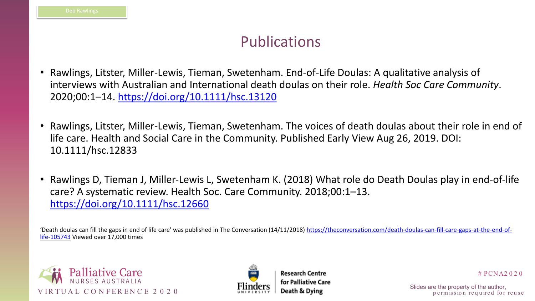



# PCNA2 0 2 0

p e rm is sion required for reuse

### Publications

- Rawlings, Litster, Miller-Lewis, Tieman, Swetenham. End-of-Life Doulas: A qualitative analysis of interviews with Australian and International death doulas on their role. *Health Soc Care Community*. 2020;00:1–14.<https://doi.org/10.1111/hsc.13120>
- Rawlings, Litster, Miller-Lewis, Tieman, Swetenham. The voices of death doulas about their role in end of life care. Health and Social Care in the Community. Published Early View Aug 26, 2019. DOI: 10.1111/hsc.12833
- Rawlings D, Tieman J, Miller-Lewis L, Swetenham K. (2018) What role do Death Doulas play in end-of-life care? A systematic review. Health Soc. Care Community. 2018;00:1–13. <https://doi.org/10.1111/hsc.12660>

['Death doulas can fill the gaps in end of life care' was published in The Conversation \(14/11/2018\) https://theconversation.com/death-doulas-can-fill-care-gaps-at-the-end-of](https://theconversation.com/death-doulas-can-fill-care-gaps-at-the-end-of-life-105743)life-105743 Viewed over 17,000 times